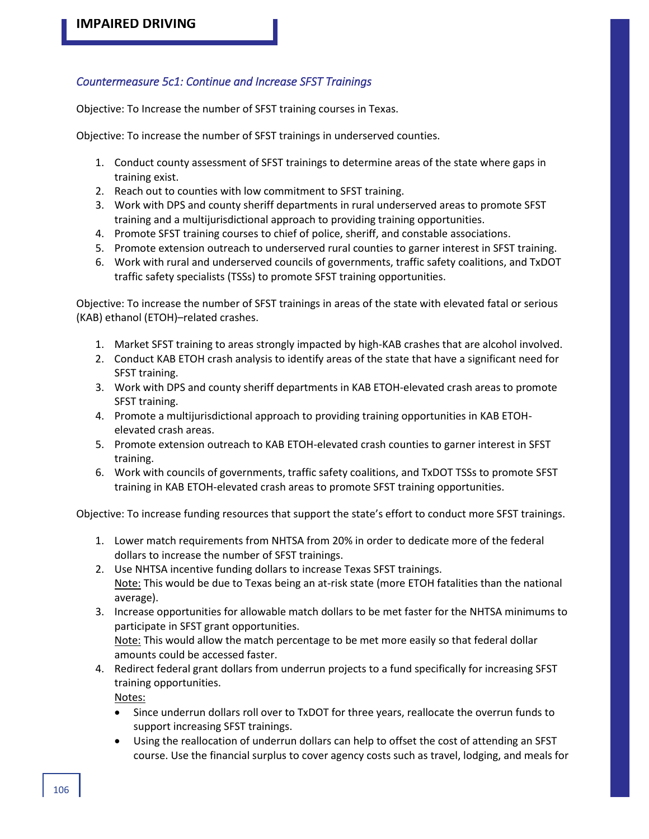## *Countermeasure 5c1: Continue and Increase SFST Trainings*

Objective: To Increase the number of SFST training courses in Texas.

Objective: To increase the number of SFST trainings in underserved counties.

- 1. Conduct county assessment of SFST trainings to determine areas of the state where gaps in training exist.
- 2. Reach out to counties with low commitment to SFST training.
- 3. Work with DPS and county sheriff departments in rural underserved areas to promote SFST training and a multijurisdictional approach to providing training opportunities.
- 4. Promote SFST training courses to chief of police, sheriff, and constable associations.
- 5. Promote extension outreach to underserved rural counties to garner interest in SFST training.
- 6. Work with rural and underserved councils of governments, traffic safety coalitions, and TxDOT traffic safety specialists (TSSs) to promote SFST training opportunities.

Objective: To increase the number of SFST trainings in areas of the state with elevated fatal or serious (KAB) ethanol (ETOH)–related crashes.

- 1. Market SFST training to areas strongly impacted by high-KAB crashes that are alcohol involved.
- 2. Conduct KAB ETOH crash analysis to identify areas of the state that have a significant need for SFST training.
- 3. Work with DPS and county sheriff departments in KAB ETOH-elevated crash areas to promote SFST training.
- 4. Promote a multijurisdictional approach to providing training opportunities in KAB ETOHelevated crash areas.
- 5. Promote extension outreach to KAB ETOH-elevated crash counties to garner interest in SFST training.
- 6. Work with councils of governments, traffic safety coalitions, and TxDOT TSSs to promote SFST training in KAB ETOH-elevated crash areas to promote SFST training opportunities.

Objective: To increase funding resources that support the state's effort to conduct more SFST trainings.

- 1. Lower match requirements from NHTSA from 20% in order to dedicate more of the federal dollars to increase the number of SFST trainings.
- 2. Use NHTSA incentive funding dollars to increase Texas SFST trainings. Note: This would be due to Texas being an at-risk state (more ETOH fatalities than the national average).
- 3. Increase opportunities for allowable match dollars to be met faster for the NHTSA minimums to participate in SFST grant opportunities. Note: This would allow the match percentage to be met more easily so that federal dollar amounts could be accessed faster.
- 4. Redirect federal grant dollars from underrun projects to a fund specifically for increasing SFST training opportunities.

Notes:

- Since underrun dollars roll over to TxDOT for three years, reallocate the overrun funds to support increasing SFST trainings.
- Using the reallocation of underrun dollars can help to offset the cost of attending an SFST course. Use the financial surplus to cover agency costs such as travel, lodging, and meals for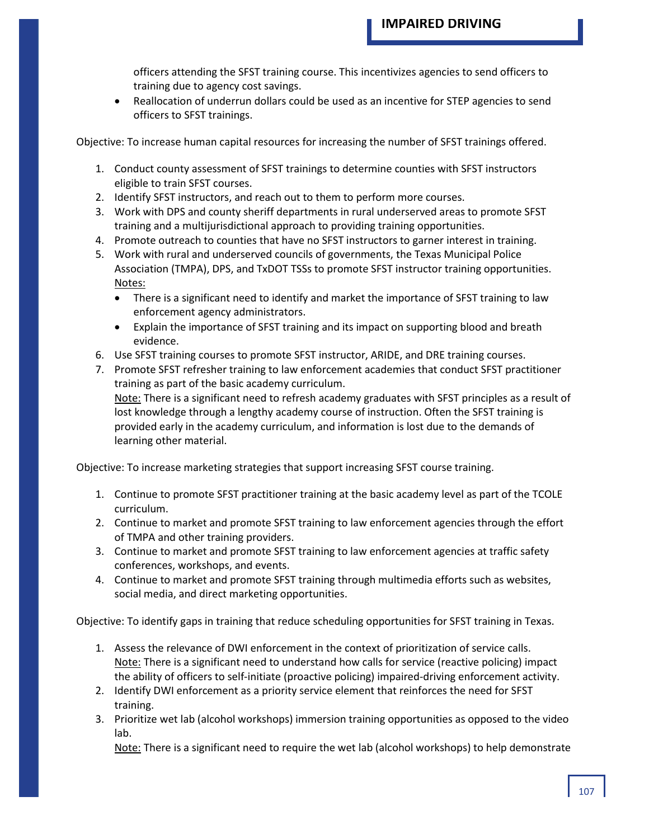officers attending the SFST training course. This incentivizes agencies to send officers to training due to agency cost savings.

• Reallocation of underrun dollars could be used as an incentive for STEP agencies to send officers to SFST trainings.

Objective: To increase human capital resources for increasing the number of SFST trainings offered.

- 1. Conduct county assessment of SFST trainings to determine counties with SFST instructors eligible to train SFST courses.
- 2. Identify SFST instructors, and reach out to them to perform more courses.
- 3. Work with DPS and county sheriff departments in rural underserved areas to promote SFST training and a multijurisdictional approach to providing training opportunities.
- 4. Promote outreach to counties that have no SFST instructors to garner interest in training.
- 5. Work with rural and underserved councils of governments, the Texas Municipal Police Association (TMPA), DPS, and TxDOT TSSs to promote SFST instructor training opportunities. Notes:
	- There is a significant need to identify and market the importance of SFST training to law enforcement agency administrators.
	- Explain the importance of SFST training and its impact on supporting blood and breath evidence.
- 6. Use SFST training courses to promote SFST instructor, ARIDE, and DRE training courses.
- 7. Promote SFST refresher training to law enforcement academies that conduct SFST practitioner training as part of the basic academy curriculum. Note: There is a significant need to refresh academy graduates with SFST principles as a result of lost knowledge through a lengthy academy course of instruction. Often the SFST training is

provided early in the academy curriculum, and information is lost due to the demands of learning other material.

Objective: To increase marketing strategies that support increasing SFST course training.

- 1. Continue to promote SFST practitioner training at the basic academy level as part of the TCOLE curriculum.
- 2. Continue to market and promote SFST training to law enforcement agencies through the effort of TMPA and other training providers.
- 3. Continue to market and promote SFST training to law enforcement agencies at traffic safety conferences, workshops, and events.
- 4. Continue to market and promote SFST training through multimedia efforts such as websites, social media, and direct marketing opportunities.

Objective: To identify gaps in training that reduce scheduling opportunities for SFST training in Texas.

- 1. Assess the relevance of DWI enforcement in the context of prioritization of service calls. Note: There is a significant need to understand how calls for service (reactive policing) impact the ability of officers to self-initiate (proactive policing) impaired-driving enforcement activity.
- 2. Identify DWI enforcement as a priority service element that reinforces the need for SFST training.
- 3. Prioritize wet lab (alcohol workshops) immersion training opportunities as opposed to the video lab.

Note: There is a significant need to require the wet lab (alcohol workshops) to help demonstrate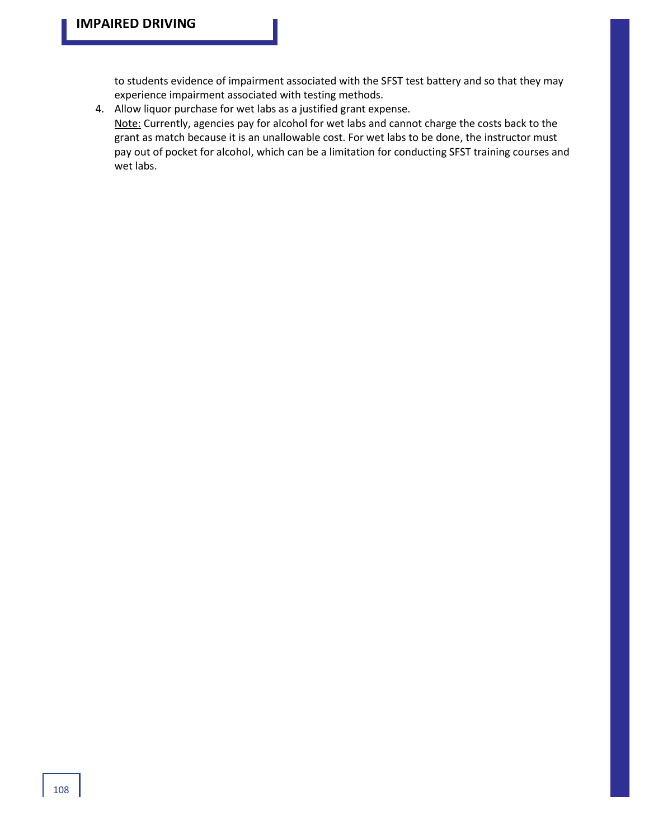to students evidence of impairment associated with the SFST test battery and so that they may experience impairment associated with testing methods.

4. Allow liquor purchase for wet labs as a justified grant expense. Note: Currently, agencies pay for alcohol for wet labs and cannot charge the costs back to the grant as match because it is an unallowable cost. For wet labs to be done, the instructor must pay out of pocket for alcohol, which can be a limitation for conducting SFST training courses and wet labs.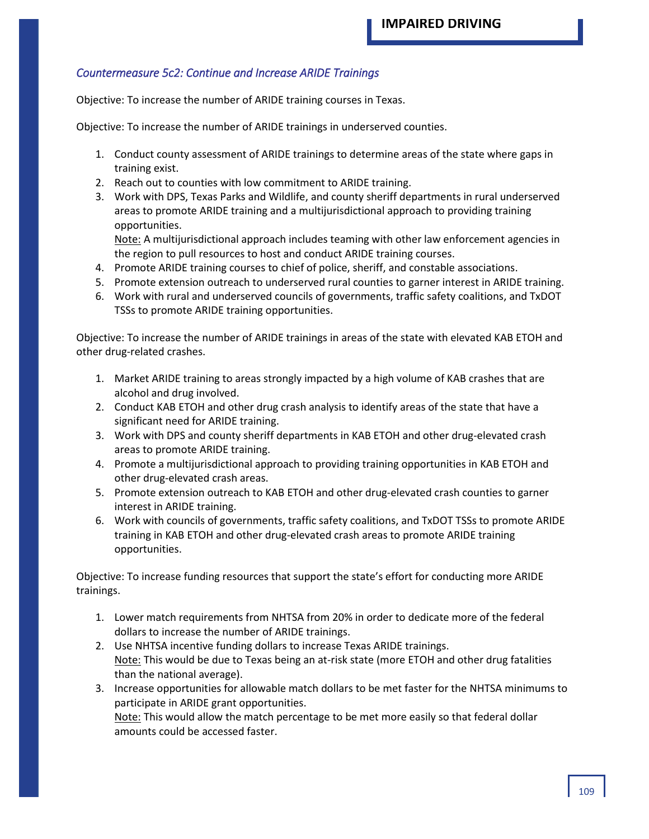## *Countermeasure 5c2: Continue and Increase ARIDE Trainings*

Objective: To increase the number of ARIDE training courses in Texas.

Objective: To increase the number of ARIDE trainings in underserved counties.

- 1. Conduct county assessment of ARIDE trainings to determine areas of the state where gaps in training exist.
- 2. Reach out to counties with low commitment to ARIDE training.
- 3. Work with DPS, Texas Parks and Wildlife, and county sheriff departments in rural underserved areas to promote ARIDE training and a multijurisdictional approach to providing training opportunities.

Note: A multijurisdictional approach includes teaming with other law enforcement agencies in the region to pull resources to host and conduct ARIDE training courses.

- 4. Promote ARIDE training courses to chief of police, sheriff, and constable associations.
- 5. Promote extension outreach to underserved rural counties to garner interest in ARIDE training.
- 6. Work with rural and underserved councils of governments, traffic safety coalitions, and TxDOT TSSs to promote ARIDE training opportunities.

Objective: To increase the number of ARIDE trainings in areas of the state with elevated KAB ETOH and other drug-related crashes.

- 1. Market ARIDE training to areas strongly impacted by a high volume of KAB crashes that are alcohol and drug involved.
- 2. Conduct KAB ETOH and other drug crash analysis to identify areas of the state that have a significant need for ARIDE training.
- 3. Work with DPS and county sheriff departments in KAB ETOH and other drug-elevated crash areas to promote ARIDE training.
- 4. Promote a multijurisdictional approach to providing training opportunities in KAB ETOH and other drug-elevated crash areas.
- 5. Promote extension outreach to KAB ETOH and other drug-elevated crash counties to garner interest in ARIDE training.
- 6. Work with councils of governments, traffic safety coalitions, and TxDOT TSSs to promote ARIDE training in KAB ETOH and other drug-elevated crash areas to promote ARIDE training opportunities.

Objective: To increase funding resources that support the state's effort for conducting more ARIDE trainings.

- 1. Lower match requirements from NHTSA from 20% in order to dedicate more of the federal dollars to increase the number of ARIDE trainings.
- 2. Use NHTSA incentive funding dollars to increase Texas ARIDE trainings. Note: This would be due to Texas being an at-risk state (more ETOH and other drug fatalities than the national average).
- 3. Increase opportunities for allowable match dollars to be met faster for the NHTSA minimums to participate in ARIDE grant opportunities.

Note: This would allow the match percentage to be met more easily so that federal dollar amounts could be accessed faster.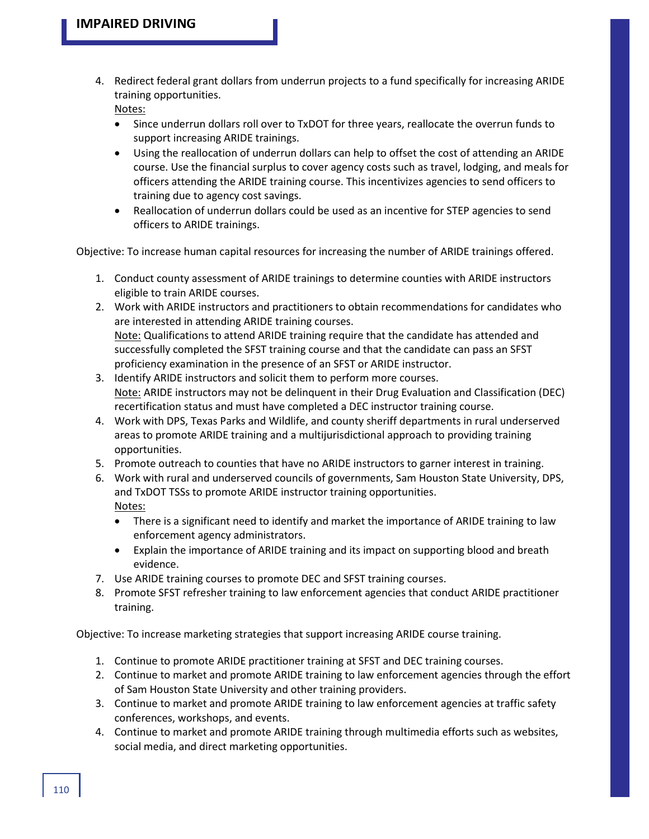4. Redirect federal grant dollars from underrun projects to a fund specifically for increasing ARIDE training opportunities.

Notes:

- Since underrun dollars roll over to TxDOT for three years, reallocate the overrun funds to support increasing ARIDE trainings.
- Using the reallocation of underrun dollars can help to offset the cost of attending an ARIDE course. Use the financial surplus to cover agency costs such as travel, lodging, and meals for officers attending the ARIDE training course. This incentivizes agencies to send officers to training due to agency cost savings.
- Reallocation of underrun dollars could be used as an incentive for STEP agencies to send officers to ARIDE trainings.

Objective: To increase human capital resources for increasing the number of ARIDE trainings offered.

- 1. Conduct county assessment of ARIDE trainings to determine counties with ARIDE instructors eligible to train ARIDE courses.
- 2. Work with ARIDE instructors and practitioners to obtain recommendations for candidates who are interested in attending ARIDE training courses. Note: Qualifications to attend ARIDE training require that the candidate has attended and successfully completed the SFST training course and that the candidate can pass an SFST proficiency examination in the presence of an SFST or ARIDE instructor.
- 3. Identify ARIDE instructors and solicit them to perform more courses. Note: ARIDE instructors may not be delinquent in their Drug Evaluation and Classification (DEC) recertification status and must have completed a DEC instructor training course.
- 4. Work with DPS, Texas Parks and Wildlife, and county sheriff departments in rural underserved areas to promote ARIDE training and a multijurisdictional approach to providing training opportunities.
- 5. Promote outreach to counties that have no ARIDE instructors to garner interest in training.
- 6. Work with rural and underserved councils of governments, Sam Houston State University, DPS, and TxDOT TSSs to promote ARIDE instructor training opportunities. Notes:
	- There is a significant need to identify and market the importance of ARIDE training to law enforcement agency administrators.
	- Explain the importance of ARIDE training and its impact on supporting blood and breath evidence.
- 7. Use ARIDE training courses to promote DEC and SFST training courses.
- 8. Promote SFST refresher training to law enforcement agencies that conduct ARIDE practitioner training.

Objective: To increase marketing strategies that support increasing ARIDE course training.

- 1. Continue to promote ARIDE practitioner training at SFST and DEC training courses.
- 2. Continue to market and promote ARIDE training to law enforcement agencies through the effort of Sam Houston State University and other training providers.
- 3. Continue to market and promote ARIDE training to law enforcement agencies at traffic safety conferences, workshops, and events.
- 4. Continue to market and promote ARIDE training through multimedia efforts such as websites, social media, and direct marketing opportunities.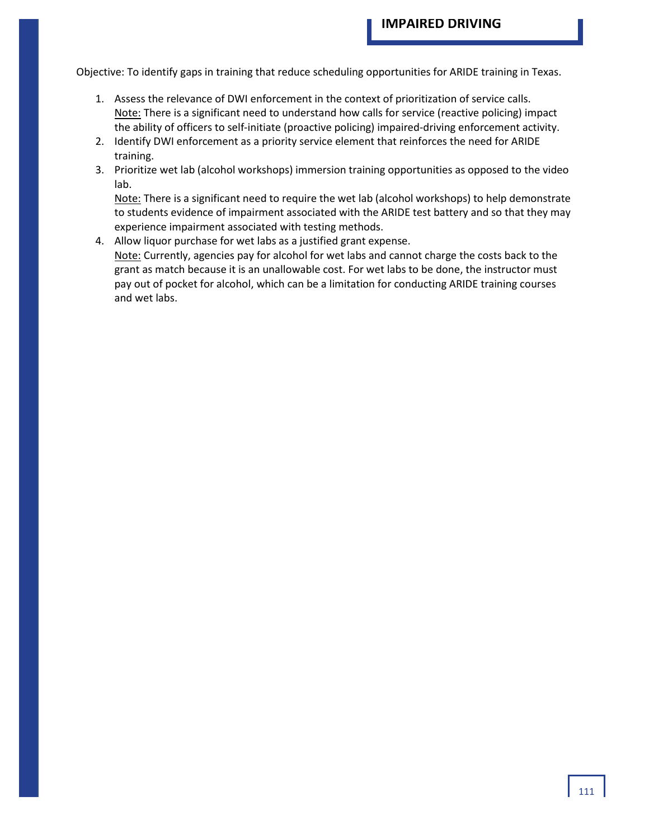Objective: To identify gaps in training that reduce scheduling opportunities for ARIDE training in Texas.

- 1. Assess the relevance of DWI enforcement in the context of prioritization of service calls. Note: There is a significant need to understand how calls for service (reactive policing) impact the ability of officers to self-initiate (proactive policing) impaired-driving enforcement activity.
- 2. Identify DWI enforcement as a priority service element that reinforces the need for ARIDE training.
- 3. Prioritize wet lab (alcohol workshops) immersion training opportunities as opposed to the video lab.

Note: There is a significant need to require the wet lab (alcohol workshops) to help demonstrate to students evidence of impairment associated with the ARIDE test battery and so that they may experience impairment associated with testing methods.

4. Allow liquor purchase for wet labs as a justified grant expense. Note: Currently, agencies pay for alcohol for wet labs and cannot charge the costs back to the grant as match because it is an unallowable cost. For wet labs to be done, the instructor must pay out of pocket for alcohol, which can be a limitation for conducting ARIDE training courses and wet labs.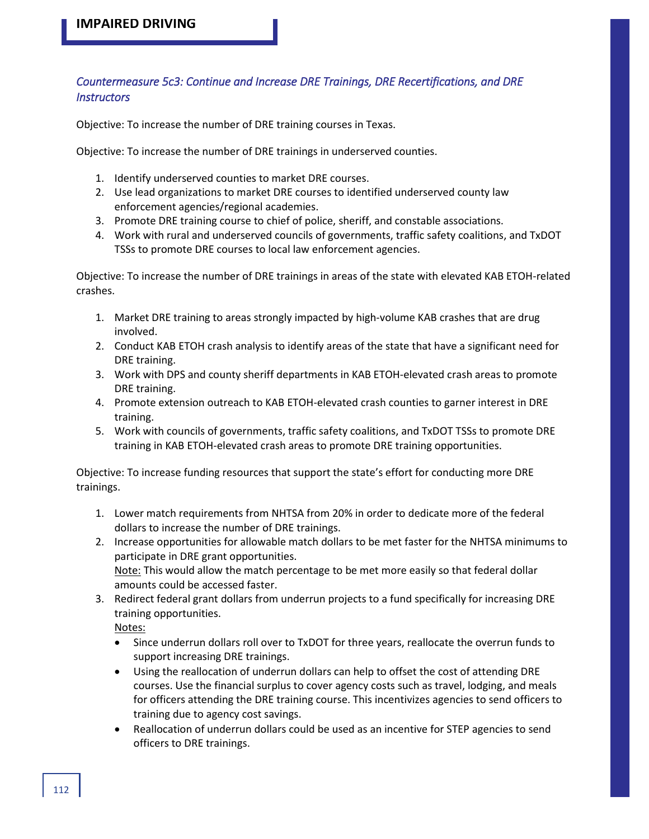## *Countermeasure 5c3: Continue and Increase DRE Trainings, DRE Recertifications, and DRE Instructors*

Objective: To increase the number of DRE training courses in Texas.

Objective: To increase the number of DRE trainings in underserved counties.

- 1. Identify underserved counties to market DRE courses.
- 2. Use lead organizations to market DRE courses to identified underserved county law enforcement agencies/regional academies.
- 3. Promote DRE training course to chief of police, sheriff, and constable associations.
- 4. Work with rural and underserved councils of governments, traffic safety coalitions, and TxDOT TSSs to promote DRE courses to local law enforcement agencies.

Objective: To increase the number of DRE trainings in areas of the state with elevated KAB ETOH-related crashes.

- 1. Market DRE training to areas strongly impacted by high-volume KAB crashes that are drug involved.
- 2. Conduct KAB ETOH crash analysis to identify areas of the state that have a significant need for DRE training.
- 3. Work with DPS and county sheriff departments in KAB ETOH-elevated crash areas to promote DRE training.
- 4. Promote extension outreach to KAB ETOH-elevated crash counties to garner interest in DRE training.
- 5. Work with councils of governments, traffic safety coalitions, and TxDOT TSSs to promote DRE training in KAB ETOH-elevated crash areas to promote DRE training opportunities.

Objective: To increase funding resources that support the state's effort for conducting more DRE trainings.

- 1. Lower match requirements from NHTSA from 20% in order to dedicate more of the federal dollars to increase the number of DRE trainings.
- 2. Increase opportunities for allowable match dollars to be met faster for the NHTSA minimums to participate in DRE grant opportunities. Note: This would allow the match percentage to be met more easily so that federal dollar amounts could be accessed faster.
- 3. Redirect federal grant dollars from underrun projects to a fund specifically for increasing DRE training opportunities.

Notes:

- Since underrun dollars roll over to TxDOT for three years, reallocate the overrun funds to support increasing DRE trainings.
- Using the reallocation of underrun dollars can help to offset the cost of attending DRE courses. Use the financial surplus to cover agency costs such as travel, lodging, and meals for officers attending the DRE training course. This incentivizes agencies to send officers to training due to agency cost savings.
- Reallocation of underrun dollars could be used as an incentive for STEP agencies to send officers to DRE trainings.